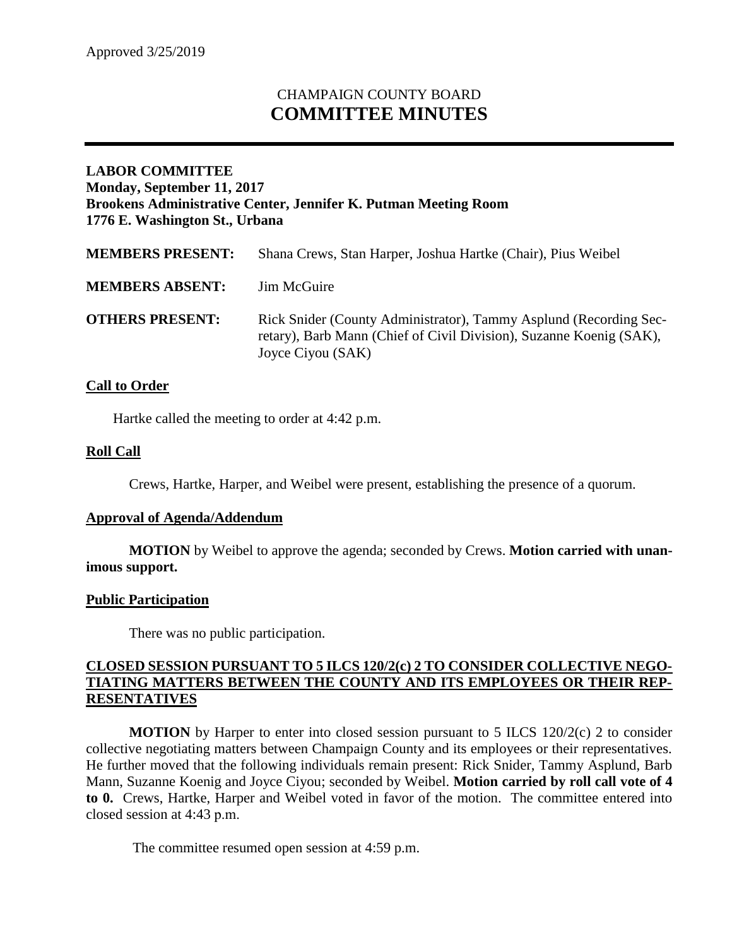# CHAMPAIGN COUNTY BOARD **COMMITTEE MINUTES**

## **LABOR COMMITTEE Monday, September 11, 2017 Brookens Administrative Center, Jennifer K. Putman Meeting Room 1776 E. Washington St., Urbana**

| <b>MEMBERS PRESENT:</b> | Shana Crews, Stan Harper, Joshua Hartke (Chair), Pius Weibel                                                                                                  |
|-------------------------|---------------------------------------------------------------------------------------------------------------------------------------------------------------|
| <b>MEMBERS ABSENT:</b>  | Jim McGuire                                                                                                                                                   |
| <b>OTHERS PRESENT:</b>  | Rick Snider (County Administrator), Tammy Asplund (Recording Sec-<br>retary), Barb Mann (Chief of Civil Division), Suzanne Koenig (SAK),<br>Joyce Ciyou (SAK) |

### **Call to Order**

Hartke called the meeting to order at 4:42 p.m.

#### **Roll Call**

Crews, Hartke, Harper, and Weibel were present, establishing the presence of a quorum.

#### **Approval of Agenda/Addendum**

**MOTION** by Weibel to approve the agenda; seconded by Crews. **Motion carried with unanimous support.**

#### **Public Participation**

There was no public participation.

### **CLOSED SESSION PURSUANT TO 5 ILCS 120/2(c) 2 TO CONSIDER COLLECTIVE NEGO-TIATING MATTERS BETWEEN THE COUNTY AND ITS EMPLOYEES OR THEIR REP-RESENTATIVES**

**MOTION** by Harper to enter into closed session pursuant to 5 ILCS 120/2(c) 2 to consider collective negotiating matters between Champaign County and its employees or their representatives. He further moved that the following individuals remain present: Rick Snider, Tammy Asplund, Barb Mann, Suzanne Koenig and Joyce Ciyou; seconded by Weibel. **Motion carried by roll call vote of 4 to 0.** Crews, Hartke, Harper and Weibel voted in favor of the motion. The committee entered into closed session at 4:43 p.m.

The committee resumed open session at 4:59 p.m.